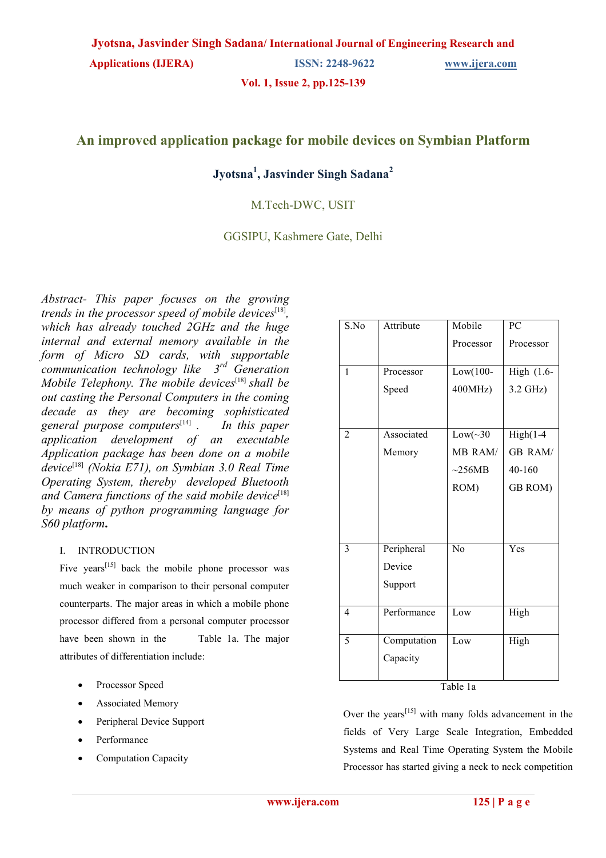**Applications (IJERA) ISSN: 2248-9622 [www.ijera.com](http://www.ijera.com/)** 

**Vol. 1, Issue 2, pp.125-139** 

# **An improved application package for mobile devices on Symbian Platform**

# **Jyotsna<sup>1</sup> , Jasvinder Singh Sadana<sup>2</sup>**

# M.Tech-DWC, USIT

GGSIPU, Kashmere Gate, Delhi

*Abstract- This paper focuses on the growing*  trends in the processor speed of mobile devices<sup>[18]</sup>, *which has already touched 2GHz and the huge internal and external memory available in the form of Micro SD cards, with supportable communication technology like 3rd Generation Mobile Telephony. The mobile devices*<sup>[18]</sup> *shall be out casting the Personal Computers in the coming decade as they are becoming sophisticated general purpose computers*[14] *. In this paper application development of an executable Application package has been done on a mobile device*[18] *(Nokia E71), on Symbian 3.0 Real Time Operating System, thereby developed Bluetooth*  and Camera functions of the said mobile device<sup>[18]</sup> *by means of python programming language for S60 platform***.** 

## I. INTRODUCTION

Five years<sup> $[15]$ </sup> back the mobile phone processor was much weaker in comparison to their personal computer counterparts. The major areas in which a mobile phone processor differed from a personal computer processor have been shown in the Table 1a. The major attributes of differentiation include:

- Processor Speed
- Associated Memory
- Peripheral Device Support
- Performance
- Computation Capacity

| S.No           | Attribute   | Mobile       | PC                             |
|----------------|-------------|--------------|--------------------------------|
|                |             | Processor    | Processor                      |
|                |             |              |                                |
| $\mathbf{1}$   | Processor   | Low(100-     | $\overline{\text{High}}$ (1.6- |
|                | Speed       | 400MHz       | 3.2 GHz)                       |
|                |             |              |                                |
|                |             |              |                                |
| $\overline{2}$ | Associated  | $Low(\sim30$ | $High(1-4)$                    |
|                | Memory      | MB RAM/      | <b>GB RAM/</b>                 |
|                |             | $\sim$ 256MB | 40-160                         |
|                |             | ROM)         | GB ROM)                        |
|                |             |              |                                |
|                |             |              |                                |
|                |             |              |                                |
| 3              | Peripheral  | No           | Yes                            |
|                | Device      |              |                                |
|                | Support     |              |                                |
|                |             |              |                                |
| $\overline{4}$ | Performance | Low          | High                           |
|                |             |              |                                |
| 5              | Computation | Low          | High                           |
|                | Capacity    |              |                                |
|                |             |              |                                |

Table 1a

Over the years<sup> $[15]$ </sup> with many folds advancement in the fields of Very Large Scale Integration, Embedded Systems and Real Time Operating System the Mobile Processor has started giving a neck to neck competition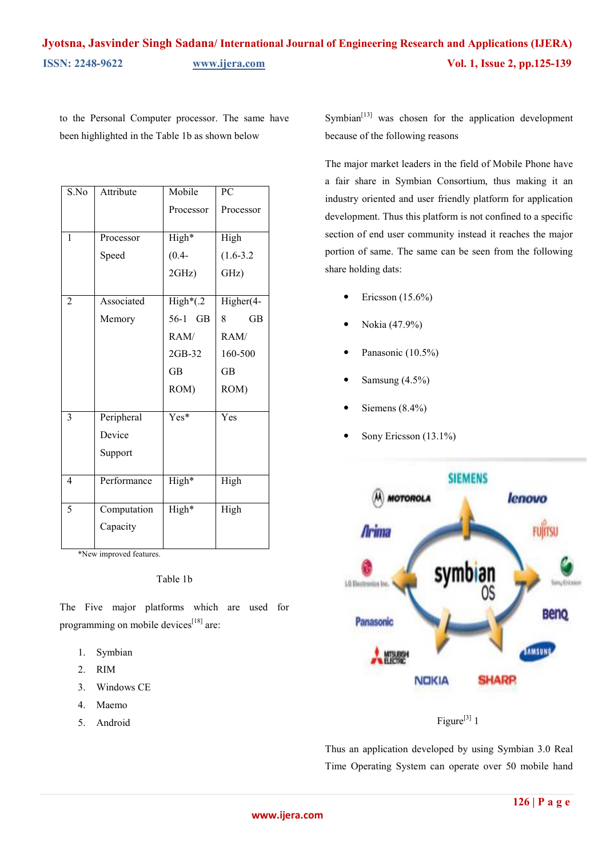to the Personal Computer processor. The same have been highlighted in the Table 1b as shown below

| S.No           | Attribute   | Mobile      | $\overline{PC}$ |
|----------------|-------------|-------------|-----------------|
|                |             | Processor   | Processor       |
|                |             |             |                 |
| 1              | Processor   | High*       | High            |
|                | Speed       | $(0.4 -$    | $(1.6 - 3.2)$   |
|                |             | 2GHz)       | GHz)            |
| $\overline{2}$ | Associated  |             |                 |
|                |             | $High*(.2)$ | Higher(4-       |
|                | Memory      | 56-1 GB     | <b>GB</b><br>8  |
|                |             | RAM/        | RAM/            |
|                |             | 2GB-32      | 160-500         |
|                |             | <b>GB</b>   | <b>GB</b>       |
|                |             | ROM)        | ROM)            |
|                |             |             |                 |
| 3              | Peripheral  | Yes*        | Yes             |
|                | Device      |             |                 |
|                | Support     |             |                 |
|                |             |             |                 |
| $\overline{4}$ | Performance | High*       | High            |
|                |             |             |                 |
| 5              | Computation | High*       | High            |
|                | Capacity    |             |                 |
|                |             |             |                 |

\*New improved features.

#### Table 1b

The Five major platforms which are used for programming on mobile devices<sup>[18]</sup> are:

- 1. Symbian
- 2. RIM
- 3. Windows CE
- 4. Maemo
- 5. Android

Symbian $[13]$  was chosen for the application development because of the following reasons

The major market leaders in the field of Mobile Phone have a fair share in Symbian Consortium, thus making it an industry oriented and user friendly platform for application development. Thus this platform is not confined to a specific section of end user community instead it reaches the major portion of same. The same can be seen from the following share holding dats:

- $\bullet$  Ericsson (15.6%)
- Nokia (47.9%)
- Panasonic (10.5%)
- Samsung (4.5%)
- Siemens (8.4%)
- Sony Ericsson (13.1%)



Figure<sup>[3]</sup> 1

Thus an application developed by using Symbian 3.0 Real Time Operating System can operate over 50 mobile hand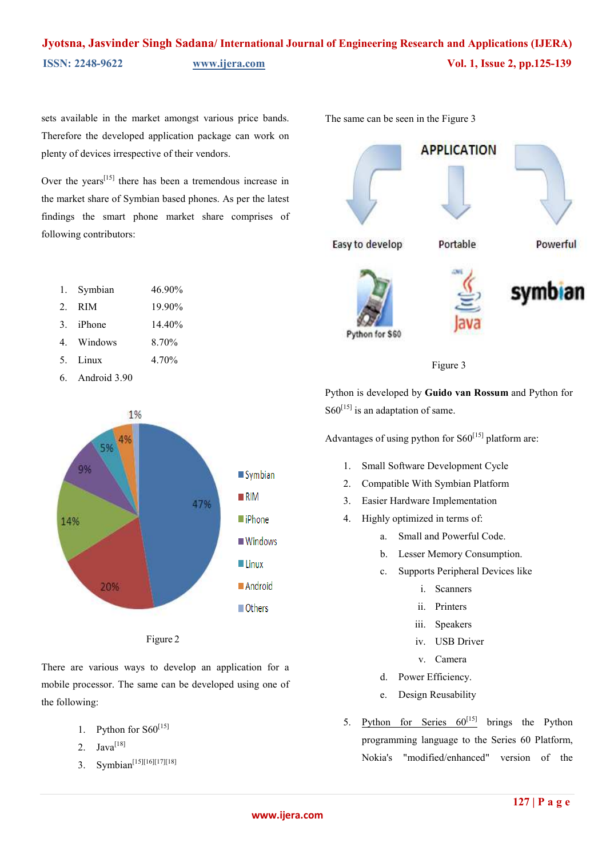sets available in the market amongst various price bands. Therefore the developed application package can work on plenty of devices irrespective of their vendors.

Over the years<sup>[15]</sup> there has been a tremendous increase in the market share of Symbian based phones. As per the latest findings the smart phone market share comprises of following contributors:

- 1. Symbian 46.90%
- 2. RIM 19.90%
- 3. iPhone 14.40%
- 4. Windows 8.70%
- 5. Linux 4.70%
- 6. Android 3.90



Figure 2

There are various ways to develop an application for a mobile processor. The same can be developed using one of the following:

- 1. Python for  $S60^{[15]}$
- 2.  $Java^{[18]}$
- 3. Symbian<sup>[15][16][17][18]</sup>

The same can be seen in the Figure 3





Python is developed by **Guido van Rossum** and Python for  $S60^{[15]}$  is an adaptation of same.

Advantages of using python for  $S60^{[15]}$  platform are:

- 1. Small Software Development Cycle
- 2. Compatible With Symbian Platform
- 3. Easier Hardware Implementation
- 4. Highly optimized in terms of:
	- a. Small and Powerful Code.
	- b. Lesser Memory Consumption.
	- c. Supports Peripheral Devices like
		- i. Scanners
		- ii. Printers
		- iii. Speakers
		- iv. USB Driver
		- v. Camera
	- d. Power Efficiency.
	- e. Design Reusability
- 5. Python for Series  $60^{[15]}$  brings the Python programming language to the Series 60 Platform, Nokia's "modified/enhanced" version of the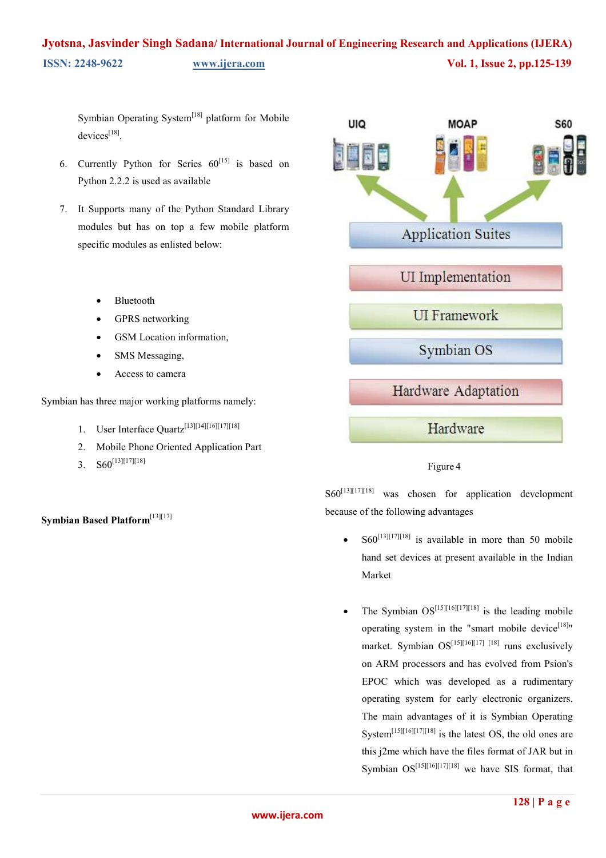Symbian Operating System<sup>[18]</sup> platform for Mobile devices<sup>[18]</sup>.

- 6. Currently Python for Series  $60^{[15]}$  is based on Python 2.2.2 is used as available
- 7. It Supports many of the Python Standard Library modules but has on top a few mobile platform specific modules as enlisted below:
	- Bluetooth
	- GPRS networking
	- GSM Location information,
	- SMS Messaging,
	- Access to camera

Symbian has three major working platforms namely:

- 1. User Interface Quartz<sup>[13][14][16][17][18]</sup>
- 2. Mobile Phone Oriented Application Part
- 3.  $S60^{[13][17][18]}$

**Symbian Based Platform**[13][17]



## Figure 4

S60<sup>[13][17][18]</sup> was chosen for application development because of the following advantages

- $S60^{[13][17][18]}$  is available in more than 50 mobile hand set devices at present available in the Indian Market
- The Symbian  $OS^{[15][16][17][18]}$  is the leading mobile operating system in the "smart mobile device<sup>[18]</sup>" market. Symbian  $OS^{[15][16][17][18]}$  runs exclusively on ARM processors and has evolved from Psion's EPOC which was developed as a rudimentary operating system for early electronic organizers. The main advantages of it is Symbian Operating System<sup>[15][16][17][18]</sup> is the latest OS, the old ones are this j2me which have the files format of JAR but in Symbian  $OS^{[15][16][17][18]}$  we have SIS format, that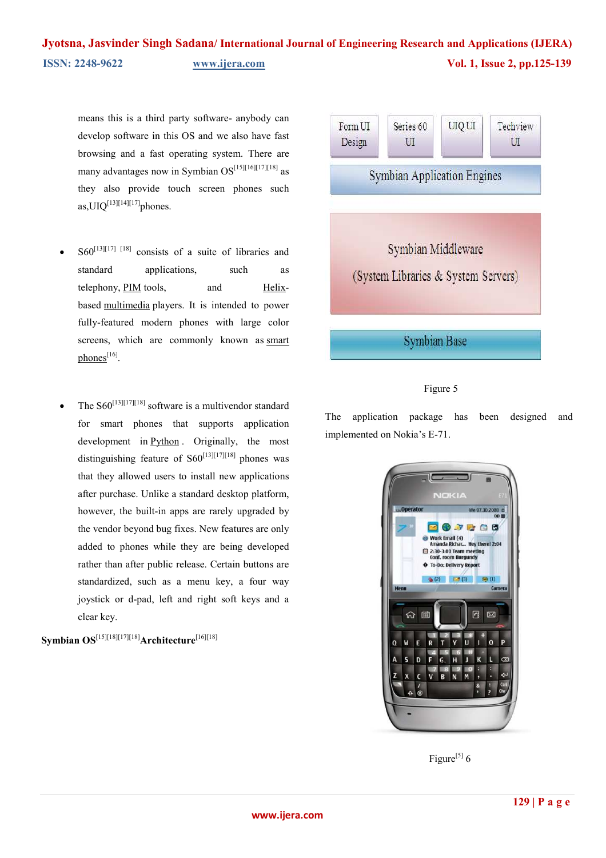means this is a third party software- anybody can develop software in this OS and we also have fast browsing and a fast operating system. There are many advantages now in Symbian  $OS^{[15][16][17][18]}$  as they also provide touch screen phones such as,  $UIQ^{[13][14][17]}$ phones.

- $S60^{[13][17]}$   $[18]$  consists of a suite of libraries and standard applications, such as telephony, [PIM t](http://en.wikipedia.org/wiki/Personal_information_manager)ools, and [Helix](http://en.wikipedia.org/wiki/Helix_project)based [multimedia p](http://en.wikipedia.org/wiki/Multimedia)layers. It is intended to power fully-featured modern phones with large color screens, which are commonly known as smart [phones](http://en.wikipedia.org/wiki/Smartphone)<sup>[16]</sup>.
- The  $S60^{[13][17][18]}$  software is a multivendor standard for smart phones that supports application development in [Python .](http://en.wikipedia.org/wiki/Python_%28programming_language%29) Originally, the most distinguishing feature of  $S60^{[13][17][18]}$  phones was that they allowed users to install new applications after purchase. Unlike a standard desktop platform, however, the built-in apps are rarely upgraded by the vendor beyond bug fixes. New features are only added to phones while they are being developed rather than after public release. Certain buttons are standardized, such as a menu key, a four way joystick or d-pad, left and right soft keys and a clear key.

**Symbian OS**[15][18][17][18]**Architecture**[16][18]



### Figure 5

The application package has been designed and implemented on Nokia's E-71.



Figure<sup>[5]</sup>  $6$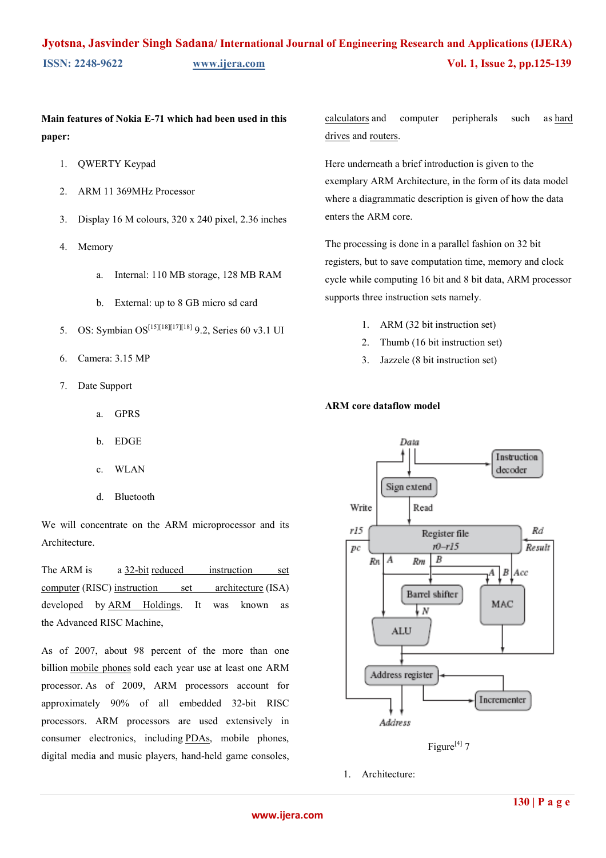# **Main features of Nokia E-71 which had been used in this paper:**

- 1. QWERTY Keypad
- 2. ARM 11 369MHz Processor
- 3. Display 16 M colours, 320 x 240 pixel, 2.36 inches
- 4. Memory
	- a. Internal: 110 MB storage, 128 MB RAM
	- b. External: up to 8 GB micro sd card
- 5. OS: Symbian OS[15][18][17][18] 9.2, Series 60 v3.1 UI
- 6. Camera: 3.15 MP
- 7. Date Support
	- a. GPRS
	- b. EDGE
	- c. WLAN
	- d. Bluetooth

We will concentrate on the ARM microprocessor and its Architecture.

The ARM is a [32-bit](http://en.wikipedia.org/wiki/32-bit) reduced instruction set [computer \(](http://en.wikipedia.org/wiki/Reduced_instruction_set_computer)RISC) i[nstruction set architecture](http://en.wikipedia.org/wiki/Instruction_set_architecture) (ISA) developed by [ARM Holdings.](http://en.wikipedia.org/wiki/ARM_Holdings) It was known as the Advanced RISC Machine,

As of 2007, about 98 percent of the more than one billion [mobile phones](http://en.wikipedia.org/wiki/Mobile_phone) sold each year use at least one ARM processor. [A](http://en.wikipedia.org/wiki/ARM_architecture#cite_note-Krazit-2)s of 2009, ARM processors account for approximately 90% of all embedded 32-bit RISC processors. ARM processors are used extensively in consumer electronics, including [PDAs,](http://en.wikipedia.org/wiki/Personal_digital_assistant) mobile phones, digital media and music players, hand-held game consoles, [calculators a](http://en.wikipedia.org/wiki/Calculator)nd computer peripherals such a[s hard](http://en.wikipedia.org/wiki/Hard_drive) [drives](http://en.wikipedia.org/wiki/Hard_drive) and r[outers.](http://en.wikipedia.org/wiki/Router)

Here underneath a brief introduction is given to the exemplary ARM Architecture, in the form of its data model where a diagrammatic description is given of how the data enters the ARM core.

The processing is done in a parallel fashion on 32 bit registers, but to save computation time, memory and clock cycle while computing 16 bit and 8 bit data, ARM processor supports three instruction sets namely.

- 1. ARM (32 bit instruction set)
- 2. Thumb (16 bit instruction set)
- 3. Jazzele (8 bit instruction set)

#### **ARM core dataflow model**



Figure<sup>[4]</sup>  $7$ 

1. Architecture: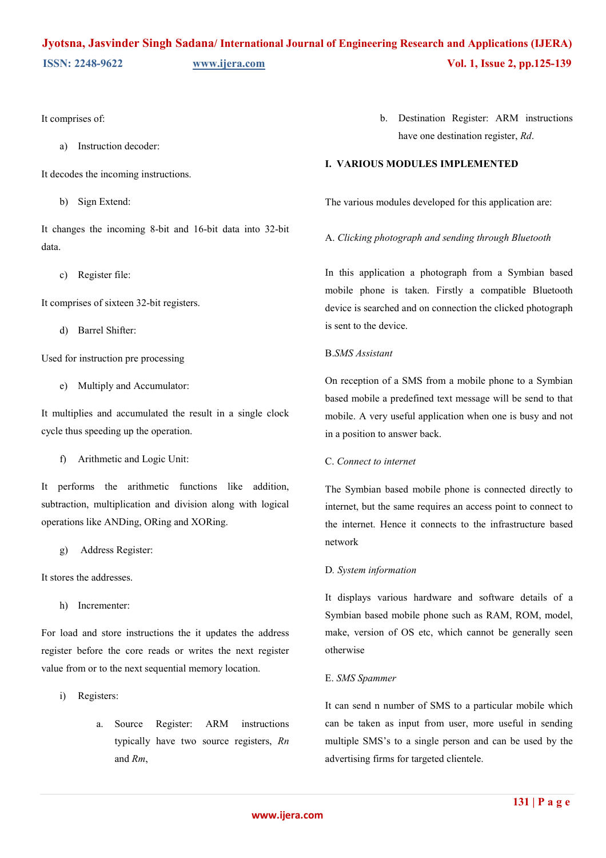It comprises of:

a) Instruction decoder:

It decodes the incoming instructions.

b) Sign Extend:

It changes the incoming 8-bit and 16-bit data into 32-bit data.

c) Register file:

It comprises of sixteen 32-bit registers.

d) Barrel Shifter:

Used for instruction pre processing

e) Multiply and Accumulator:

It multiplies and accumulated the result in a single clock cycle thus speeding up the operation.

f) Arithmetic and Logic Unit:

It performs the arithmetic functions like addition, subtraction, multiplication and division along with logical operations like ANDing, ORing and XORing.

g) Address Register:

It stores the addresses.

h) Incrementer:

For load and store instructions the it updates the address register before the core reads or writes the next register value from or to the next sequential memory location.

- i) Registers:
	- a. Source Register: ARM instructions typically have two source registers, *Rn*  and *Rm*,

b. Destination Register: ARM instructions have one destination register, *Rd*.

### **I. VARIOUS MODULES IMPLEMENTED**

The various modules developed for this application are:

A. *Clicking photograph and sending through Bluetooth* 

In this application a photograph from a Symbian based mobile phone is taken. Firstly a compatible Bluetooth device is searched and on connection the clicked photograph is sent to the device.

### B.*SMS Assistant*

On reception of a SMS from a mobile phone to a Symbian based mobile a predefined text message will be send to that mobile. A very useful application when one is busy and not in a position to answer back.

#### C. *Connect to internet*

The Symbian based mobile phone is connected directly to internet, but the same requires an access point to connect to the internet. Hence it connects to the infrastructure based network

#### D*. System information*

It displays various hardware and software details of a Symbian based mobile phone such as RAM, ROM, model, make, version of OS etc, which cannot be generally seen otherwise

#### E. *SMS Spammer*

It can send n number of SMS to a particular mobile which can be taken as input from user, more useful in sending multiple SMS's to a single person and can be used by the advertising firms for targeted clientele.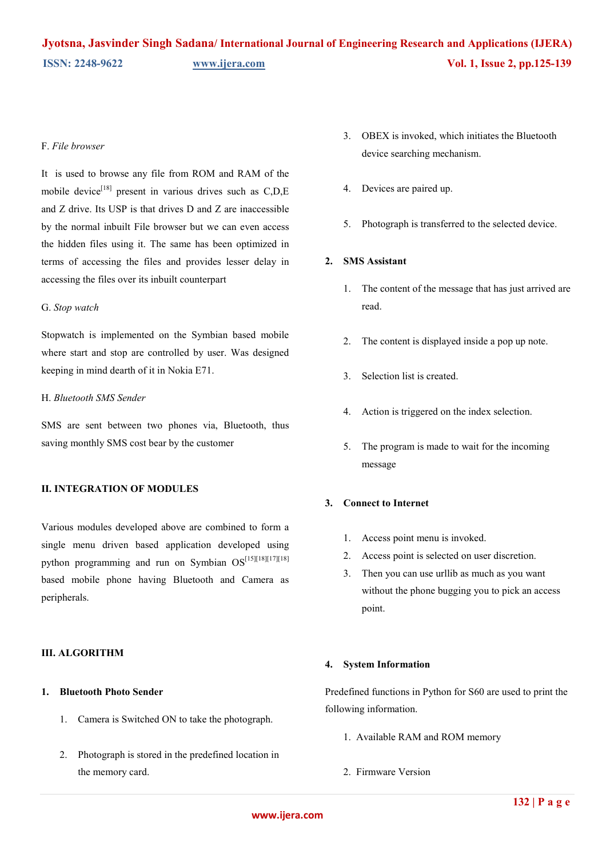#### F. *File browser*

It is used to browse any file from ROM and RAM of the mobile device<sup>[18]</sup> present in various drives such as  $C.D.E$ and Z drive. Its USP is that drives D and Z are inaccessible by the normal inbuilt File browser but we can even access the hidden files using it. The same has been optimized in terms of accessing the files and provides lesser delay in accessing the files over its inbuilt counterpart

#### G. *Stop watch*

Stopwatch is implemented on the Symbian based mobile where start and stop are controlled by user. Was designed keeping in mind dearth of it in Nokia E71.

#### H. *Bluetooth SMS Sender*

SMS are sent between two phones via, Bluetooth, thus saving monthly SMS cost bear by the customer

#### **II. INTEGRATION OF MODULES**

Various modules developed above are combined to form a single menu driven based application developed using python programming and run on Symbian OS[15][18][17][18] based mobile phone having Bluetooth and Camera as peripherals.

### **III. ALGORITHM**

### **1. Bluetooth Photo Sender**

- 1. Camera is Switched ON to take the photograph.
- 2. Photograph is stored in the predefined location in the memory card.
- 3. OBEX is invoked, which initiates the Bluetooth device searching mechanism.
- 4. Devices are paired up.
- 5. Photograph is transferred to the selected device.

### **2. SMS Assistant**

- 1. The content of the message that has just arrived are read.
- 2. The content is displayed inside a pop up note.
- 3. Selection list is created.
- 4. Action is triggered on the index selection.
- 5. The program is made to wait for the incoming message

#### **3. Connect to Internet**

- 1. Access point menu is invoked.
- 2. Access point is selected on user discretion.
- 3. Then you can use urllib as much as you want without the phone bugging you to pick an access point.

#### **4. System Information**

Predefined functions in Python for S60 are used to print the following information.

- 1. Available RAM and ROM memory
- 2. Firmware Version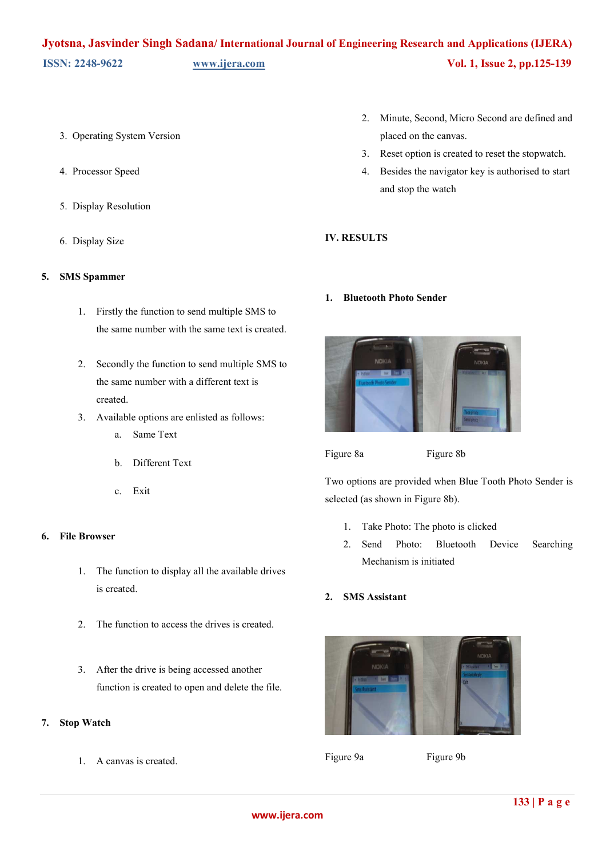- 3. Operating System Version
- 4. Processor Speed
- 5. Display Resolution
- 6. Display Size

### **5. SMS Spammer**

- 1. Firstly the function to send multiple SMS to the same number with the same text is created.
- 2. Secondly the function to send multiple SMS to the same number with a different text is created.
- 3. Available options are enlisted as follows:
	- a. Same Text
	- b. Different Text
	- c. Exit

### **6. File Browser**

- 1. The function to display all the available drives is created.
- 2. The function to access the drives is created.
- 3. After the drive is being accessed another function is created to open and delete the file.

### **7. Stop Watch**

1. A canvas is created.

- 2. Minute, Second, Micro Second are defined and placed on the canvas.
- 3. Reset option is created to reset the stopwatch.
- 4. Besides the navigator key is authorised to start and stop the watch

### **IV. RESULTS**

#### **1. Bluetooth Photo Sender**



Figure 8a Figure 8b

Two options are provided when Blue Tooth Photo Sender is selected (as shown in Figure 8b).

- 1. Take Photo: The photo is clicked
- 2. Send Photo: Bluetooth Device Searching Mechanism is initiated

## **2. SMS Assistant**



Figure 9a Figure 9b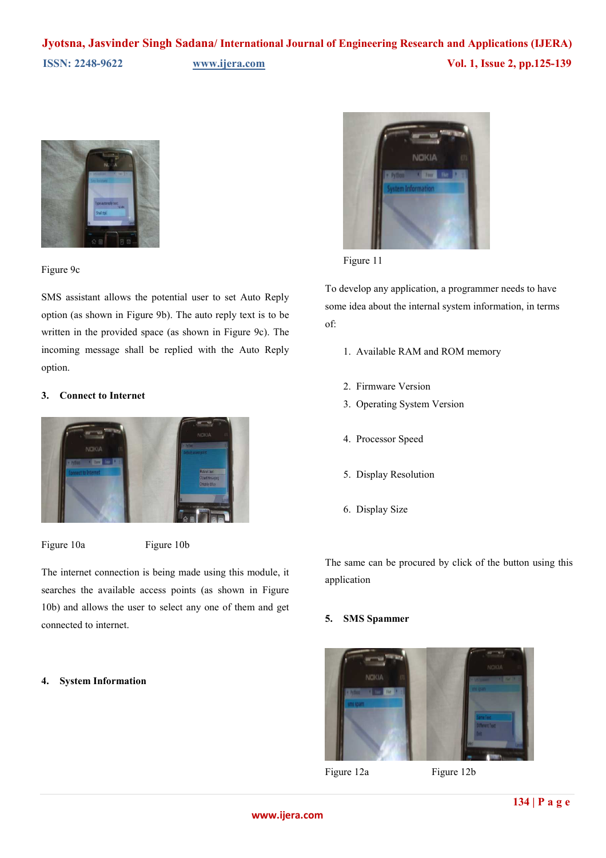

Figure 9c

SMS assistant allows the potential user to set Auto Reply option (as shown in Figure 9b). The auto reply text is to be written in the provided space (as shown in Figure 9c). The incoming message shall be replied with the Auto Reply option.

### **3. Connect to Internet**



Figure 10a Figure 10b

The internet connection is being made using this module, it searches the available access points (as shown in Figure 10b) and allows the user to select any one of them and get connected to internet.

#### **4. System Information**



Figure 11

To develop any application, a programmer needs to have some idea about the internal system information, in terms of:

- 1. Available RAM and ROM memory
- 2. Firmware Version
- 3. Operating System Version
- 4. Processor Speed
- 5. Display Resolution
- 6. Display Size

The same can be procured by click of the button using this application

## **5. SMS Spammer**



Figure 12a Figure 12b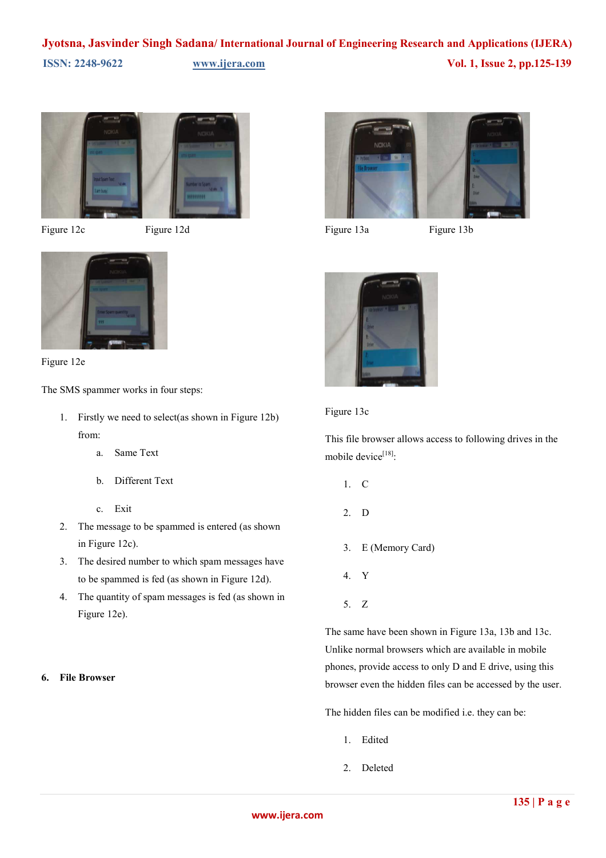

Figure 12c Figure 12d





The SMS spammer works in four steps:

- 1. Firstly we need to select(as shown in Figure 12b) from:
	- a. Same Text
	- b. Different Text
	- c. Exit
- 2. The message to be spammed is entered (as shown in Figure 12c).
- 3. The desired number to which spam messages have to be spammed is fed (as shown in Figure 12d).
- 4. The quantity of spam messages is fed (as shown in Figure 12e).

### **6. File Browser**





Figure 13a Figure 13b





This file browser allows access to following drives in the mobile device<sup>[18]</sup>:

- 1. C
- 2. D
- 3. E (Memory Card)
- 4. Y
- 5. Z

The same have been shown in Figure 13a, 13b and 13c. Unlike normal browsers which are available in mobile phones, provide access to only D and E drive, using this browser even the hidden files can be accessed by the user.

The hidden files can be modified i.e. they can be:

- 1. Edited
- 2. Deleted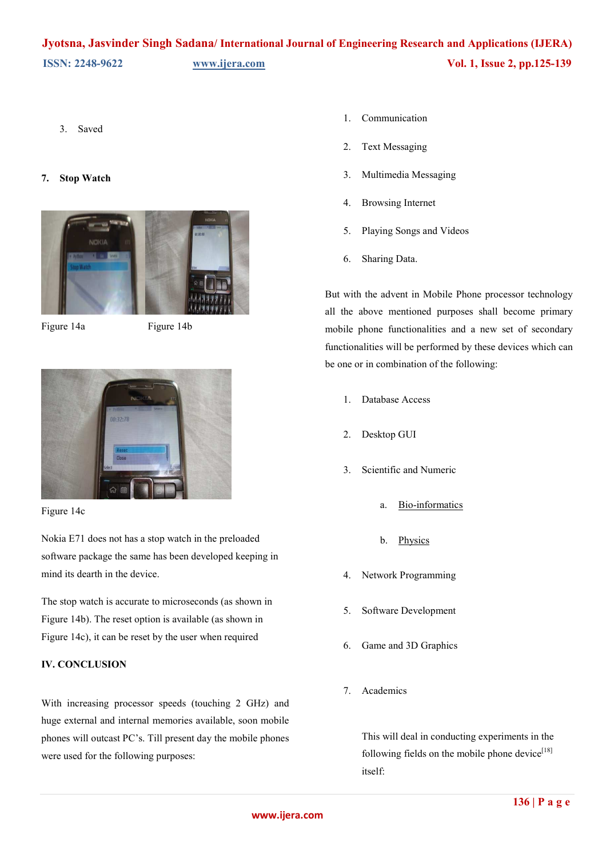3. Saved

#### **7. Stop Watch**



Figure 14a Figure 14b



#### Figure 14c

Nokia E71 does not has a stop watch in the preloaded software package the same has been developed keeping in mind its dearth in the device.

The stop watch is accurate to microseconds (as shown in Figure 14b). The reset option is available (as shown in Figure 14c), it can be reset by the user when required

## **IV. CONCLUSION**

With increasing processor speeds (touching 2 GHz) and huge external and internal memories available, soon mobile phones will outcast PC's. Till present day the mobile phones were used for the following purposes:

- 1. Communication
- 2. Text Messaging
- 3. Multimedia Messaging
- 4. Browsing Internet
- 5. Playing Songs and Videos
- 6. Sharing Data.

But with the advent in Mobile Phone processor technology all the above mentioned purposes shall become primary mobile phone functionalities and a new set of secondary functionalities will be performed by these devices which can be one or in combination of the following:

- 1. Database Access
- 2. Desktop GUI
- 3. Scientific and Numeric
	- a. [Bio-informatics](http://www.onlamp.com/pub/a/python/2002/10/17/biopython.html)
	- b. [Physics](http://www.pentangle.net/python/handbook/)
- 4. Network Programming
- 5. Software Development
- 6. Game and 3D Graphics
- 7. Academics

This will deal in conducting experiments in the following fields on the mobile phone device $[18]$ itself: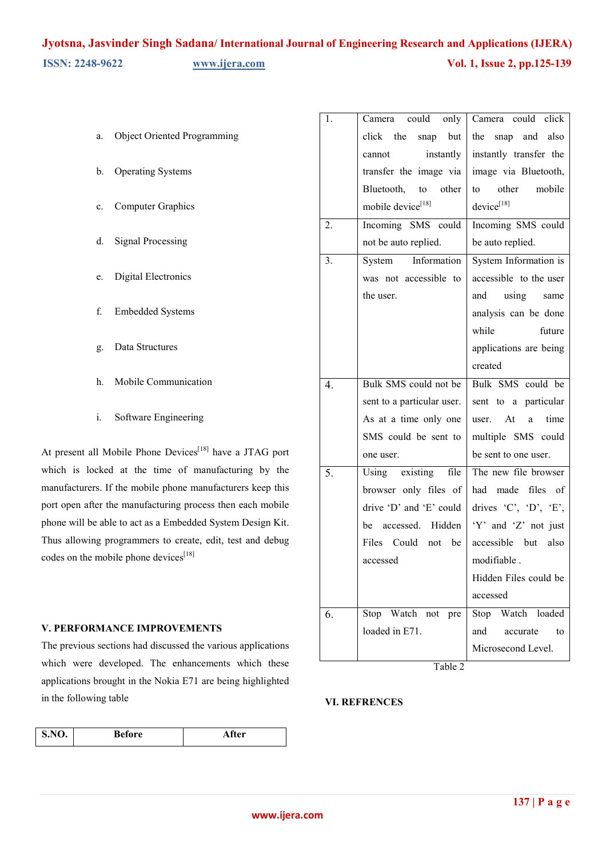| <b>Object Oriented Programming</b><br>a. |  |
|------------------------------------------|--|
|------------------------------------------|--|

- b. Operating Systems
- c. Computer Graphics
- d. Signal Processing
- e. Digital Electronics
- f. Embedded Systems
- g. Data Structures
- h. Mobile Communication
- i. Software Engineering

At present all Mobile Phone Devices<sup>[18]</sup> have a JTAG port which is locked at the time of manufacturing by the manufacturers. If the mobile phone manufacturers keep this port open after the manufacturing process then each mobile phone will be able to act as a Embedded System Design Kit. Thus allowing programmers to create, edit, test and debug codes on the mobile phone devices<sup>[18]</sup>

#### **V. PERFORMANCE IMPROVEMENTS**

The previous sections had discussed the various applications which were developed. The enhancements which these applications brought in the Nokia E71 are being highlighted in the following table

| <b>S.NO.</b> | <b>Before</b> | After |
|--------------|---------------|-------|
|              |               |       |

| 1. | Camera could only          | Camera could click      |
|----|----------------------------|-------------------------|
|    | snap but<br>click the      | snap and<br>also<br>the |
|    | instantly<br>cannot        | instantly transfer the  |
|    | transfer the image via     | image via Bluetooth,    |
|    | Bluetooth, to other        | other mobile<br>to      |
|    | mobile device[18]          | device[18]              |
| 2. | Incoming SMS could         | Incoming SMS could      |
|    | not be auto replied.       | be auto replied.        |
| 3. | System Information         | System Information is   |
|    | was not accessible to      | accessible to the user  |
|    | the user.                  | using same<br>and       |
|    |                            | analysis can be done    |
|    |                            | while<br>future         |
|    |                            | applications are being  |
|    |                            | created                 |
| 4. | Bulk SMS could not be      | Bulk SMS could be       |
|    | sent to a particular user. | sent to a particular    |
|    | As at a time only one      | user. At<br>time<br>a   |
|    | SMS could be sent to       | multiple SMS could      |
|    | one user.                  | be sent to one user.    |
| 5. | Using existing file        | The new file browser    |
|    | browser only files of      | had made files of       |
|    | drive 'D' and 'E' could    | drives 'C', 'D', 'E',   |
|    | be accessed. Hidden        | 'Y' and 'Z' not just    |
|    | Files Could not be         | accessible but also     |
|    | accessed                   | modifiable.             |
|    |                            | Hidden Files could be   |
|    |                            | accessed                |
| 6. | Stop Watch not<br>pre      | Stop Watch loaded       |
|    | loaded in E71.             | and<br>to<br>accurate   |
|    |                            | Microsecond Level.      |

Table 2

#### **VI. REFRENCES**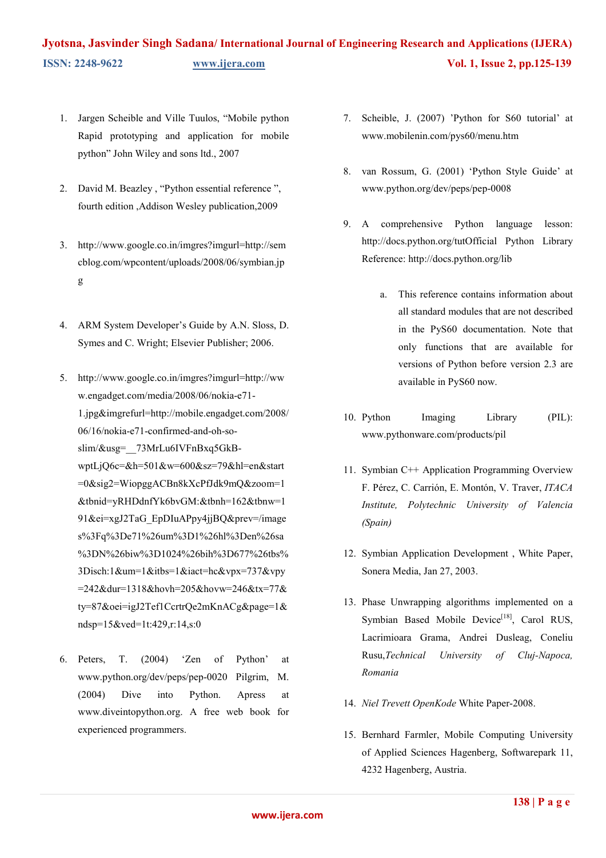- 1. Jargen Scheible and Ville Tuulos, "Mobile python Rapid prototyping and application for mobile python" John Wiley and sons ltd., 2007
- 2. David M. Beazley , "Python essential reference ", fourth edition ,Addison Wesley publication,2009
- 3. [http://www.google.co.in/imgres?imgurl=http://sem](http://www.google.co.in/imgres?imgurl=http://semcblog.com/wp-content/uploads/2008/06/symbian.jpg) [cblog.com/wpcontent/uploads/2008/06/symbian.jp](http://www.google.co.in/imgres?imgurl=http://semcblog.com/wp-content/uploads/2008/06/symbian.jpg) [g](http://www.google.co.in/imgres?imgurl=http://semcblog.com/wp-content/uploads/2008/06/symbian.jpg)
- 4. ARM System Developer's Guide by A.N. Sloss, D. Symes and C. Wright; Elsevier Publisher; 2006.
- 5. [http://www.google.co.in/imgres?imgurl=http://ww](http://www.google.co.in/imgres?imgurl=http://www.engadget.com/media/2008/06/nokia-e71-1.jpg&imgrefurl=http://mobile.engadget.com/2008/06/16/nokia-e71-confirmed-and-oh-so-slim/&usg=__73MrLu6IVFnBxq5GkB-wptLjQ6c=&h=501&w=600&sz=79&hl=en&start=0&sig2=WiopggACBn8kXcPfJdk9mQ&zoom=1&tbnid=yRHDdnfYk6bvGM:&tbnh=162&tbnw=191&ei=xgJ2TaG_EpDIuAPpy4jjBQ&prev=/images%3Fq%3De71%26um%3D1%26hl%3Den%26sa%3DN%26biw%3D1024%26bih%3D677%26tbs%3Disch:1&um=1&itbs=1&iact=hc&vpx=737&vpy=242&dur=1318&hovh=205&hovw=246&tx=77&ty=87&oei=igJ2Tef1CcrtrQe2mKnACg&page=1&ndsp=15&ved=1t:429%2Cr:14%2Cs:0) [w.engadget.com/media/2008/06/nokia-e71-](http://www.google.co.in/imgres?imgurl=http://www.engadget.com/media/2008/06/nokia-e71-1.jpg&imgrefurl=http://mobile.engadget.com/2008/06/16/nokia-e71-confirmed-and-oh-so-slim/&usg=__73MrLu6IVFnBxq5GkB-wptLjQ6c=&h=501&w=600&sz=79&hl=en&start=0&sig2=WiopggACBn8kXcPfJdk9mQ&zoom=1&tbnid=yRHDdnfYk6bvGM:&tbnh=162&tbnw=191&ei=xgJ2TaG_EpDIuAPpy4jjBQ&prev=/images%3Fq%3De71%26um%3D1%26hl%3Den%26sa%3DN%26biw%3D1024%26bih%3D677%26tbs%3Disch:1&um=1&itbs=1&iact=hc&vpx=737&vpy=242&dur=1318&hovh=205&hovw=246&tx=77&ty=87&oei=igJ2Tef1CcrtrQe2mKnACg&page=1&ndsp=15&ved=1t:429%2Cr:14%2Cs:0) [1.jpg&imgrefurl=http://mobile.engadget.com/2008/](http://www.google.co.in/imgres?imgurl=http://www.engadget.com/media/2008/06/nokia-e71-1.jpg&imgrefurl=http://mobile.engadget.com/2008/06/16/nokia-e71-confirmed-and-oh-so-slim/&usg=__73MrLu6IVFnBxq5GkB-wptLjQ6c=&h=501&w=600&sz=79&hl=en&start=0&sig2=WiopggACBn8kXcPfJdk9mQ&zoom=1&tbnid=yRHDdnfYk6bvGM:&tbnh=162&tbnw=191&ei=xgJ2TaG_EpDIuAPpy4jjBQ&prev=/images%3Fq%3De71%26um%3D1%26hl%3Den%26sa%3DN%26biw%3D1024%26bih%3D677%26tbs%3Disch:1&um=1&itbs=1&iact=hc&vpx=737&vpy=242&dur=1318&hovh=205&hovw=246&tx=77&ty=87&oei=igJ2Tef1CcrtrQe2mKnACg&page=1&ndsp=15&ved=1t:429%2Cr:14%2Cs:0) [06/16/nokia-e71-confirmed-and-oh-so](http://www.google.co.in/imgres?imgurl=http://www.engadget.com/media/2008/06/nokia-e71-1.jpg&imgrefurl=http://mobile.engadget.com/2008/06/16/nokia-e71-confirmed-and-oh-so-slim/&usg=__73MrLu6IVFnBxq5GkB-wptLjQ6c=&h=501&w=600&sz=79&hl=en&start=0&sig2=WiopggACBn8kXcPfJdk9mQ&zoom=1&tbnid=yRHDdnfYk6bvGM:&tbnh=162&tbnw=191&ei=xgJ2TaG_EpDIuAPpy4jjBQ&prev=/images%3Fq%3De71%26um%3D1%26hl%3Den%26sa%3DN%26biw%3D1024%26bih%3D677%26tbs%3Disch:1&um=1&itbs=1&iact=hc&vpx=737&vpy=242&dur=1318&hovh=205&hovw=246&tx=77&ty=87&oei=igJ2Tef1CcrtrQe2mKnACg&page=1&ndsp=15&ved=1t:429%2Cr:14%2Cs:0)[slim/&usg=\\_\\_73MrLu6IVFnBxq5GkB](http://www.google.co.in/imgres?imgurl=http://www.engadget.com/media/2008/06/nokia-e71-1.jpg&imgrefurl=http://mobile.engadget.com/2008/06/16/nokia-e71-confirmed-and-oh-so-slim/&usg=__73MrLu6IVFnBxq5GkB-wptLjQ6c=&h=501&w=600&sz=79&hl=en&start=0&sig2=WiopggACBn8kXcPfJdk9mQ&zoom=1&tbnid=yRHDdnfYk6bvGM:&tbnh=162&tbnw=191&ei=xgJ2TaG_EpDIuAPpy4jjBQ&prev=/images%3Fq%3De71%26um%3D1%26hl%3Den%26sa%3DN%26biw%3D1024%26bih%3D677%26tbs%3Disch:1&um=1&itbs=1&iact=hc&vpx=737&vpy=242&dur=1318&hovh=205&hovw=246&tx=77&ty=87&oei=igJ2Tef1CcrtrQe2mKnACg&page=1&ndsp=15&ved=1t:429%2Cr:14%2Cs:0)[wptLjQ6c=&h=501&w=600&sz=79&hl=en&start](http://www.google.co.in/imgres?imgurl=http://www.engadget.com/media/2008/06/nokia-e71-1.jpg&imgrefurl=http://mobile.engadget.com/2008/06/16/nokia-e71-confirmed-and-oh-so-slim/&usg=__73MrLu6IVFnBxq5GkB-wptLjQ6c=&h=501&w=600&sz=79&hl=en&start=0&sig2=WiopggACBn8kXcPfJdk9mQ&zoom=1&tbnid=yRHDdnfYk6bvGM:&tbnh=162&tbnw=191&ei=xgJ2TaG_EpDIuAPpy4jjBQ&prev=/images%3Fq%3De71%26um%3D1%26hl%3Den%26sa%3DN%26biw%3D1024%26bih%3D677%26tbs%3Disch:1&um=1&itbs=1&iact=hc&vpx=737&vpy=242&dur=1318&hovh=205&hovw=246&tx=77&ty=87&oei=igJ2Tef1CcrtrQe2mKnACg&page=1&ndsp=15&ved=1t:429%2Cr:14%2Cs:0) [=0&sig2=WiopggACBn8kXcPfJdk9mQ&zoom=1](http://www.google.co.in/imgres?imgurl=http://www.engadget.com/media/2008/06/nokia-e71-1.jpg&imgrefurl=http://mobile.engadget.com/2008/06/16/nokia-e71-confirmed-and-oh-so-slim/&usg=__73MrLu6IVFnBxq5GkB-wptLjQ6c=&h=501&w=600&sz=79&hl=en&start=0&sig2=WiopggACBn8kXcPfJdk9mQ&zoom=1&tbnid=yRHDdnfYk6bvGM:&tbnh=162&tbnw=191&ei=xgJ2TaG_EpDIuAPpy4jjBQ&prev=/images%3Fq%3De71%26um%3D1%26hl%3Den%26sa%3DN%26biw%3D1024%26bih%3D677%26tbs%3Disch:1&um=1&itbs=1&iact=hc&vpx=737&vpy=242&dur=1318&hovh=205&hovw=246&tx=77&ty=87&oei=igJ2Tef1CcrtrQe2mKnACg&page=1&ndsp=15&ved=1t:429%2Cr:14%2Cs:0) [&tbnid=yRHDdnfYk6bvGM:&tbnh=162&tbnw=1](http://www.google.co.in/imgres?imgurl=http://www.engadget.com/media/2008/06/nokia-e71-1.jpg&imgrefurl=http://mobile.engadget.com/2008/06/16/nokia-e71-confirmed-and-oh-so-slim/&usg=__73MrLu6IVFnBxq5GkB-wptLjQ6c=&h=501&w=600&sz=79&hl=en&start=0&sig2=WiopggACBn8kXcPfJdk9mQ&zoom=1&tbnid=yRHDdnfYk6bvGM:&tbnh=162&tbnw=191&ei=xgJ2TaG_EpDIuAPpy4jjBQ&prev=/images%3Fq%3De71%26um%3D1%26hl%3Den%26sa%3DN%26biw%3D1024%26bih%3D677%26tbs%3Disch:1&um=1&itbs=1&iact=hc&vpx=737&vpy=242&dur=1318&hovh=205&hovw=246&tx=77&ty=87&oei=igJ2Tef1CcrtrQe2mKnACg&page=1&ndsp=15&ved=1t:429%2Cr:14%2Cs:0) [91&ei=xgJ2TaG\\_EpDIuAPpy4jjBQ&prev=/image](http://www.google.co.in/imgres?imgurl=http://www.engadget.com/media/2008/06/nokia-e71-1.jpg&imgrefurl=http://mobile.engadget.com/2008/06/16/nokia-e71-confirmed-and-oh-so-slim/&usg=__73MrLu6IVFnBxq5GkB-wptLjQ6c=&h=501&w=600&sz=79&hl=en&start=0&sig2=WiopggACBn8kXcPfJdk9mQ&zoom=1&tbnid=yRHDdnfYk6bvGM:&tbnh=162&tbnw=191&ei=xgJ2TaG_EpDIuAPpy4jjBQ&prev=/images%3Fq%3De71%26um%3D1%26hl%3Den%26sa%3DN%26biw%3D1024%26bih%3D677%26tbs%3Disch:1&um=1&itbs=1&iact=hc&vpx=737&vpy=242&dur=1318&hovh=205&hovw=246&tx=77&ty=87&oei=igJ2Tef1CcrtrQe2mKnACg&page=1&ndsp=15&ved=1t:429%2Cr:14%2Cs:0) [s%3Fq%3De71%26um%3D1%26hl%3Den%26sa](http://www.google.co.in/imgres?imgurl=http://www.engadget.com/media/2008/06/nokia-e71-1.jpg&imgrefurl=http://mobile.engadget.com/2008/06/16/nokia-e71-confirmed-and-oh-so-slim/&usg=__73MrLu6IVFnBxq5GkB-wptLjQ6c=&h=501&w=600&sz=79&hl=en&start=0&sig2=WiopggACBn8kXcPfJdk9mQ&zoom=1&tbnid=yRHDdnfYk6bvGM:&tbnh=162&tbnw=191&ei=xgJ2TaG_EpDIuAPpy4jjBQ&prev=/images%3Fq%3De71%26um%3D1%26hl%3Den%26sa%3DN%26biw%3D1024%26bih%3D677%26tbs%3Disch:1&um=1&itbs=1&iact=hc&vpx=737&vpy=242&dur=1318&hovh=205&hovw=246&tx=77&ty=87&oei=igJ2Tef1CcrtrQe2mKnACg&page=1&ndsp=15&ved=1t:429%2Cr:14%2Cs:0) [%3DN%26biw%3D1024%26bih%3D677%26tbs%](http://www.google.co.in/imgres?imgurl=http://www.engadget.com/media/2008/06/nokia-e71-1.jpg&imgrefurl=http://mobile.engadget.com/2008/06/16/nokia-e71-confirmed-and-oh-so-slim/&usg=__73MrLu6IVFnBxq5GkB-wptLjQ6c=&h=501&w=600&sz=79&hl=en&start=0&sig2=WiopggACBn8kXcPfJdk9mQ&zoom=1&tbnid=yRHDdnfYk6bvGM:&tbnh=162&tbnw=191&ei=xgJ2TaG_EpDIuAPpy4jjBQ&prev=/images%3Fq%3De71%26um%3D1%26hl%3Den%26sa%3DN%26biw%3D1024%26bih%3D677%26tbs%3Disch:1&um=1&itbs=1&iact=hc&vpx=737&vpy=242&dur=1318&hovh=205&hovw=246&tx=77&ty=87&oei=igJ2Tef1CcrtrQe2mKnACg&page=1&ndsp=15&ved=1t:429%2Cr:14%2Cs:0) [3Disch:1&um=1&itbs=1&iact=hc&vpx=737&vpy](http://www.google.co.in/imgres?imgurl=http://www.engadget.com/media/2008/06/nokia-e71-1.jpg&imgrefurl=http://mobile.engadget.com/2008/06/16/nokia-e71-confirmed-and-oh-so-slim/&usg=__73MrLu6IVFnBxq5GkB-wptLjQ6c=&h=501&w=600&sz=79&hl=en&start=0&sig2=WiopggACBn8kXcPfJdk9mQ&zoom=1&tbnid=yRHDdnfYk6bvGM:&tbnh=162&tbnw=191&ei=xgJ2TaG_EpDIuAPpy4jjBQ&prev=/images%3Fq%3De71%26um%3D1%26hl%3Den%26sa%3DN%26biw%3D1024%26bih%3D677%26tbs%3Disch:1&um=1&itbs=1&iact=hc&vpx=737&vpy=242&dur=1318&hovh=205&hovw=246&tx=77&ty=87&oei=igJ2Tef1CcrtrQe2mKnACg&page=1&ndsp=15&ved=1t:429%2Cr:14%2Cs:0) [=242&dur=1318&hovh=205&hovw=246&tx=77&](http://www.google.co.in/imgres?imgurl=http://www.engadget.com/media/2008/06/nokia-e71-1.jpg&imgrefurl=http://mobile.engadget.com/2008/06/16/nokia-e71-confirmed-and-oh-so-slim/&usg=__73MrLu6IVFnBxq5GkB-wptLjQ6c=&h=501&w=600&sz=79&hl=en&start=0&sig2=WiopggACBn8kXcPfJdk9mQ&zoom=1&tbnid=yRHDdnfYk6bvGM:&tbnh=162&tbnw=191&ei=xgJ2TaG_EpDIuAPpy4jjBQ&prev=/images%3Fq%3De71%26um%3D1%26hl%3Den%26sa%3DN%26biw%3D1024%26bih%3D677%26tbs%3Disch:1&um=1&itbs=1&iact=hc&vpx=737&vpy=242&dur=1318&hovh=205&hovw=246&tx=77&ty=87&oei=igJ2Tef1CcrtrQe2mKnACg&page=1&ndsp=15&ved=1t:429%2Cr:14%2Cs:0) [ty=87&oei=igJ2Tef1CcrtrQe2mKnACg&page=1&](http://www.google.co.in/imgres?imgurl=http://www.engadget.com/media/2008/06/nokia-e71-1.jpg&imgrefurl=http://mobile.engadget.com/2008/06/16/nokia-e71-confirmed-and-oh-so-slim/&usg=__73MrLu6IVFnBxq5GkB-wptLjQ6c=&h=501&w=600&sz=79&hl=en&start=0&sig2=WiopggACBn8kXcPfJdk9mQ&zoom=1&tbnid=yRHDdnfYk6bvGM:&tbnh=162&tbnw=191&ei=xgJ2TaG_EpDIuAPpy4jjBQ&prev=/images%3Fq%3De71%26um%3D1%26hl%3Den%26sa%3DN%26biw%3D1024%26bih%3D677%26tbs%3Disch:1&um=1&itbs=1&iact=hc&vpx=737&vpy=242&dur=1318&hovh=205&hovw=246&tx=77&ty=87&oei=igJ2Tef1CcrtrQe2mKnACg&page=1&ndsp=15&ved=1t:429%2Cr:14%2Cs:0) [ndsp=15&ved=1t:429,r:14,s:0](http://www.google.co.in/imgres?imgurl=http://www.engadget.com/media/2008/06/nokia-e71-1.jpg&imgrefurl=http://mobile.engadget.com/2008/06/16/nokia-e71-confirmed-and-oh-so-slim/&usg=__73MrLu6IVFnBxq5GkB-wptLjQ6c=&h=501&w=600&sz=79&hl=en&start=0&sig2=WiopggACBn8kXcPfJdk9mQ&zoom=1&tbnid=yRHDdnfYk6bvGM:&tbnh=162&tbnw=191&ei=xgJ2TaG_EpDIuAPpy4jjBQ&prev=/images%3Fq%3De71%26um%3D1%26hl%3Den%26sa%3DN%26biw%3D1024%26bih%3D677%26tbs%3Disch:1&um=1&itbs=1&iact=hc&vpx=737&vpy=242&dur=1318&hovh=205&hovw=246&tx=77&ty=87&oei=igJ2Tef1CcrtrQe2mKnACg&page=1&ndsp=15&ved=1t:429%2Cr:14%2Cs:0)
- 6. Peters, T. (2004) 'Zen of Python' at [www.python.org/dev/peps/pep-0020 P](http://www.python.org/dev/peps/pep-0020)ilgrim, M. (2004) Dive into Python. Apress at [www.diveintopython.org.](http://www.diveintopython.org/) A free web book for experienced programmers.
- 7. Scheible, J. (2007) 'Python for S60 tutorial' at [www.mobilenin.com/pys60/menu.htm](http://www.mobilenin.com/pys60/menu.htm)
- 8. van Rossum, G. (2001) 'Python Style Guide' at [www.python.org/dev/peps/pep-0008](http://www.python.org/dev/peps/pep-0008)
- 9. A comprehensive Python language lesson: http://docs.python.org/tutOfficial Python Library Reference: <http://docs.python.org/lib>
	- a. This reference contains information about all standard modules that are not described in the PyS60 documentation. Note that only functions that are available for versions of Python before version 2.3 are available in PyS60 now.
- 10. Python Imaging Library (PIL): [www.pythonware.com/products/pil](http://www.pythonware.com/products/pil)
- 11. Symbian C++ Application Programming Overview F. Pérez, C. Carrión, E. Montón, V. Traver, *ITACA Institute, Polytechnic University of Valencia (Spain)*
- 12. Symbian Application Development , White Paper, Sonera Media, Jan 27, 2003.
- 13. Phase Unwrapping algorithms implemented on a Symbian Based Mobile Device<sup>[18]</sup>, Carol RUS, Lacrimioara Grama, Andrei Dusleag, Coneliu Rusu,*Technical University of Cluj-Napoca, Romania*
- 14. *Niel Trevett OpenKode* White Paper-2008.
- 15. Bernhard Farmler, Mobile Computing University of Applied Sciences Hagenberg, Softwarepark 11, 4232 Hagenberg, Austria.